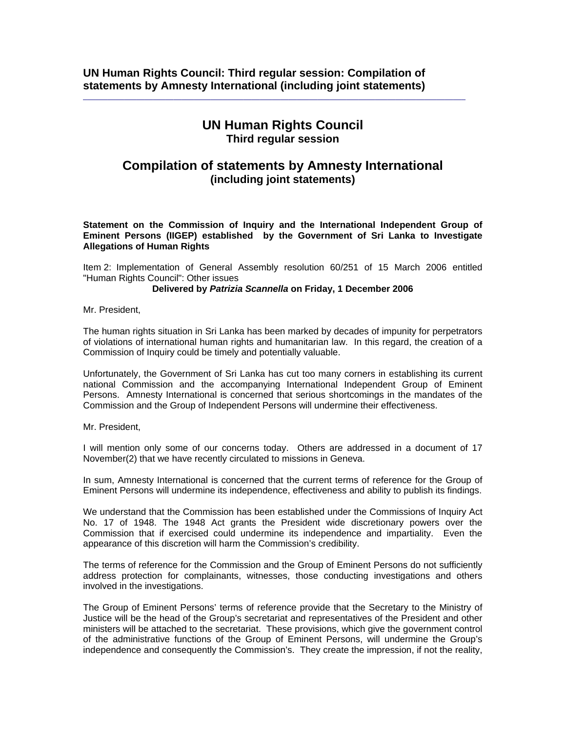## **UN Human Rights Council Third regular session**

 $\_$  ,  $\_$  ,  $\_$  ,  $\_$  ,  $\_$  ,  $\_$  ,  $\_$  ,  $\_$  ,  $\_$  ,  $\_$  ,  $\_$  ,  $\_$  ,  $\_$  ,  $\_$  ,  $\_$  ,  $\_$  ,  $\_$  ,  $\_$  ,  $\_$  ,  $\_$ 

## **Compilation of statements by Amnesty International (including joint statements)**

**Statement on the Commission of Inquiry and the International Independent Group of Eminent Persons (IIGEP) established by the Government of Sri Lanka to Investigate Allegations of Human Rights** 

Item 2: Implementation of General Assembly resolution 60/251 of 15 March 2006 entitled "Human Rights Council": Other issues

**Delivered by** *Patrizia Scannella* **on Friday, 1 December 2006** 

Mr. President,

The human rights situation in Sri Lanka has been marked by decades of impunity for perpetrators of violations of international human rights and humanitarian law. In this regard, the creation of a Commission of Inquiry could be timely and potentially valuable.

Unfortunately, the Government of Sri Lanka has cut too many corners in establishing its current national Commission and the accompanying International Independent Group of Eminent Persons. Amnesty International is concerned that serious shortcomings in the mandates of the Commission and the Group of Independent Persons will undermine their effectiveness.

Mr. President,

I will mention only some of our concerns today. Others are addressed in a document of 17 November(2) that we have recently circulated to missions in Geneva.

In sum, Amnesty International is concerned that the current terms of reference for the Group of Eminent Persons will undermine its independence, effectiveness and ability to publish its findings.

We understand that the Commission has been established under the Commissions of Inquiry Act No. 17 of 1948. The 1948 Act grants the President wide discretionary powers over the Commission that if exercised could undermine its independence and impartiality. Even the appearance of this discretion will harm the Commission's credibility.

The terms of reference for the Commission and the Group of Eminent Persons do not sufficiently address protection for complainants, witnesses, those conducting investigations and others involved in the investigations.

The Group of Eminent Persons' terms of reference provide that the Secretary to the Ministry of Justice will be the head of the Group's secretariat and representatives of the President and other ministers will be attached to the secretariat. These provisions, which give the government control of the administrative functions of the Group of Eminent Persons, will undermine the Group's independence and consequently the Commission's. They create the impression, if not the reality,